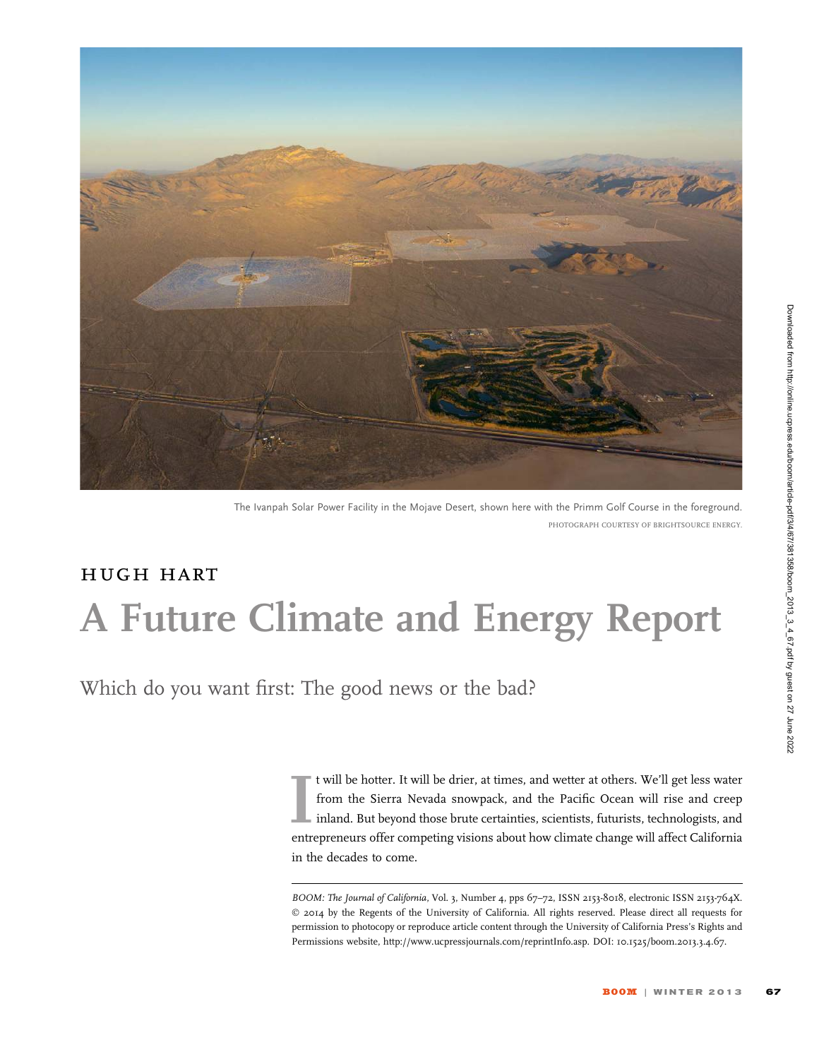

The Ivanpah Solar Power Facility in the Mojave Desert, shown here with the Primm Golf Course in the foreground. PHOTOGRAPH COURTESY OF BRIGHTSOURCE ENERGY.

## hugh hart A Future Climate and Energy Report

Which do you want first: The good news or the bad?

It will be hotter. It will be drier, at times, and wetter at others. We'll get less water<br>from the Sierra Nevada snowpack, and the Pacific Ocean will rise and creep<br>inland. But beyond those brute certainties, scientists, f t will be hotter. It will be drier, at times, and wetter at others. We'll get less water from the Sierra Nevada snowpack, and the Pacific Ocean will rise and creep inland. But beyond those brute certainties, scientists, futurists, technologists, and in the decades to come.

BOOM: The Journal of California, Vol. 3, Number 4, pps 67-72, ISSN 2153-8018, electronic ISSN 2153-764X. © 2014 by the Regents of the University of California. All rights reserved. Please direct all requests for permission to photocopy or reproduce article content through the University of California Press's Rights and Permissions website, http://www.ucpressjournals.com/reprintInfo.asp. DOI: 10.1525/boom.2013.3.4.67.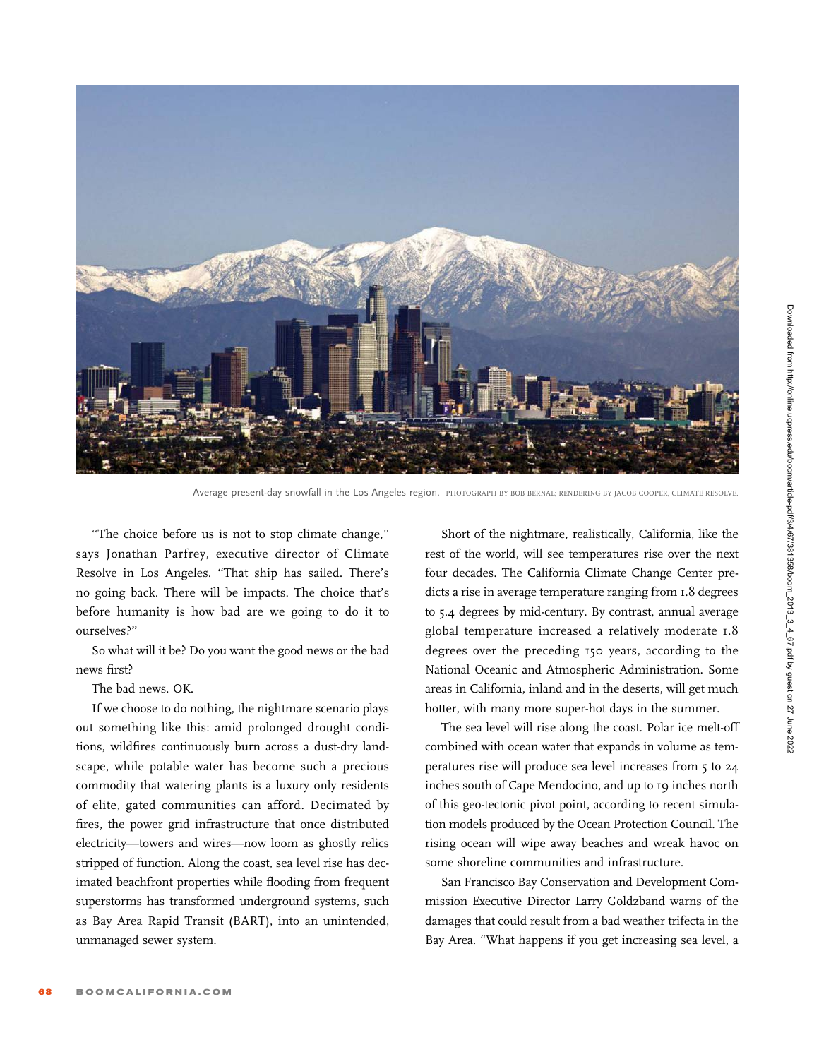

Average present-day snowfall in the Los Angeles region. PHOTOGRAPH BY BOB BERNAL; RENDERING BY JACOB COOPER, CLIMATE RESOLVE

''The choice before us is not to stop climate change,'' says Jonathan Parfrey, executive director of Climate Resolve in Los Angeles. ''That ship has sailed. There's no going back. There will be impacts. The choice that's before humanity is how bad are we going to do it to ourselves?''

So what will it be? Do you want the good news or the bad news first?

The bad news. OK.

If we choose to do nothing, the nightmare scenario plays out something like this: amid prolonged drought conditions, wildfires continuously burn across a dust-dry landscape, while potable water has become such a precious commodity that watering plants is a luxury only residents of elite, gated communities can afford. Decimated by fires, the power grid infrastructure that once distributed electricity—towers and wires—now loom as ghostly relics stripped of function. Along the coast, sea level rise has decimated beachfront properties while flooding from frequent superstorms has transformed underground systems, such as Bay Area Rapid Transit (BART), into an unintended, unmanaged sewer system.

Short of the nightmare, realistically, California, like the rest of the world, will see temperatures rise over the next four decades. The California Climate Change Center predicts a rise in average temperature ranging from 1.8 degrees to 5.4 degrees by mid-century. By contrast, annual average global temperature increased a relatively moderate 1.8 degrees over the preceding 150 years, according to the National Oceanic and Atmospheric Administration. Some areas in California, inland and in the deserts, will get much hotter, with many more super-hot days in the summer.

The sea level will rise along the coast. Polar ice melt-off combined with ocean water that expands in volume as temperatures rise will produce sea level increases from 5 to 24 inches south of Cape Mendocino, and up to 19 inches north of this geo-tectonic pivot point, according to recent simulation models produced by the Ocean Protection Council. The rising ocean will wipe away beaches and wreak havoc on some shoreline communities and infrastructure.

San Francisco Bay Conservation and Development Commission Executive Director Larry Goldzband warns of the damages that could result from a bad weather trifecta in the Bay Area. ''What happens if you get increasing sea level, a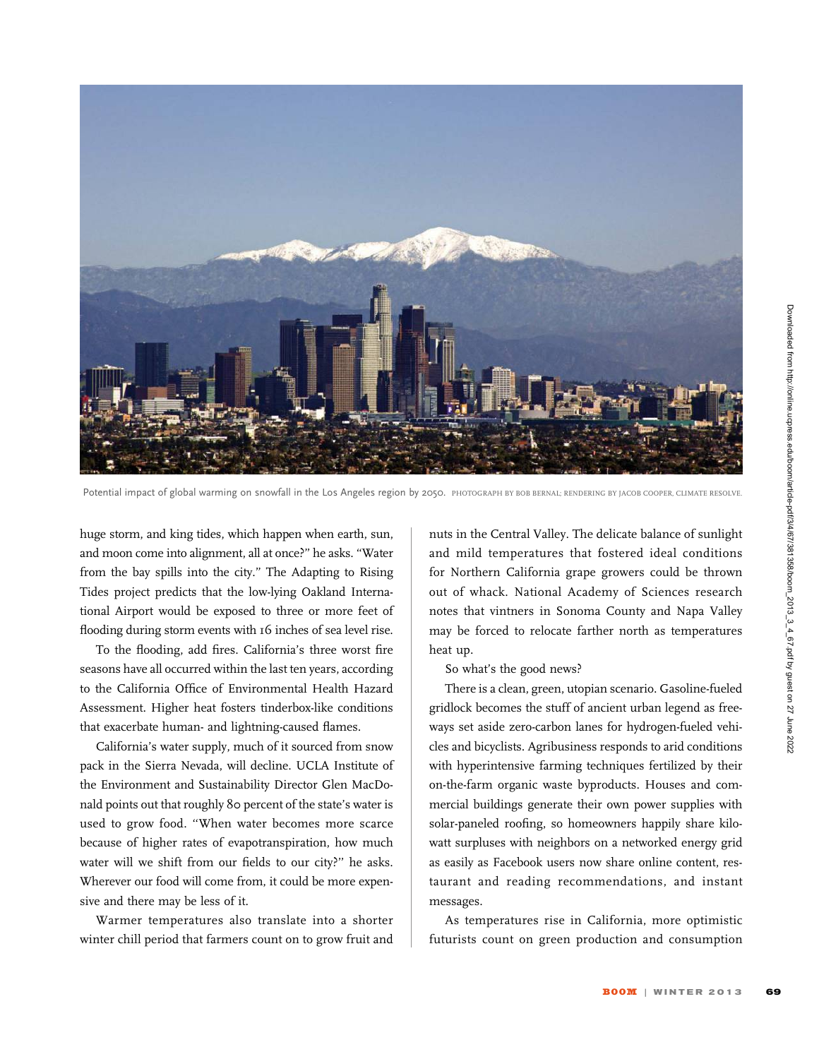

Potential impact of global warming on snowfall in the Los Angeles region by 2050. PHOTOGRAPH BY BOB BERNAL; RENDERING BY JACOB COOPER, CLIMATE RESOLVE

huge storm, and king tides, which happen when earth, sun, and moon come into alignment, all at once?'' he asks. ''Water from the bay spills into the city.'' The Adapting to Rising Tides project predicts that the low-lying Oakland International Airport would be exposed to three or more feet of flooding during storm events with 16 inches of sea level rise.

To the flooding, add fires. California's three worst fire seasons have all occurred within the last ten years, according to the California Office of Environmental Health Hazard Assessment. Higher heat fosters tinderbox-like conditions that exacerbate human- and lightning-caused flames.

California's water supply, much of it sourced from snow pack in the Sierra Nevada, will decline. UCLA Institute of the Environment and Sustainability Director Glen MacDonald points out that roughly 80 percent of the state's water is used to grow food. ''When water becomes more scarce because of higher rates of evapotranspiration, how much water will we shift from our fields to our city?'' he asks. Wherever our food will come from, it could be more expensive and there may be less of it.

Warmer temperatures also translate into a shorter winter chill period that farmers count on to grow fruit and

nuts in the Central Valley. The delicate balance of sunlight and mild temperatures that fostered ideal conditions for Northern California grape growers could be thrown out of whack. National Academy of Sciences research notes that vintners in Sonoma County and Napa Valley may be forced to relocate farther north as temperatures heat up.

So what's the good news?

There is a clean, green, utopian scenario. Gasoline-fueled gridlock becomes the stuff of ancient urban legend as freeways set aside zero-carbon lanes for hydrogen-fueled vehicles and bicyclists. Agribusiness responds to arid conditions with hyperintensive farming techniques fertilized by their on-the-farm organic waste byproducts. Houses and commercial buildings generate their own power supplies with solar-paneled roofing, so homeowners happily share kilowatt surpluses with neighbors on a networked energy grid as easily as Facebook users now share online content, restaurant and reading recommendations, and instant messages.

As temperatures rise in California, more optimistic futurists count on green production and consumption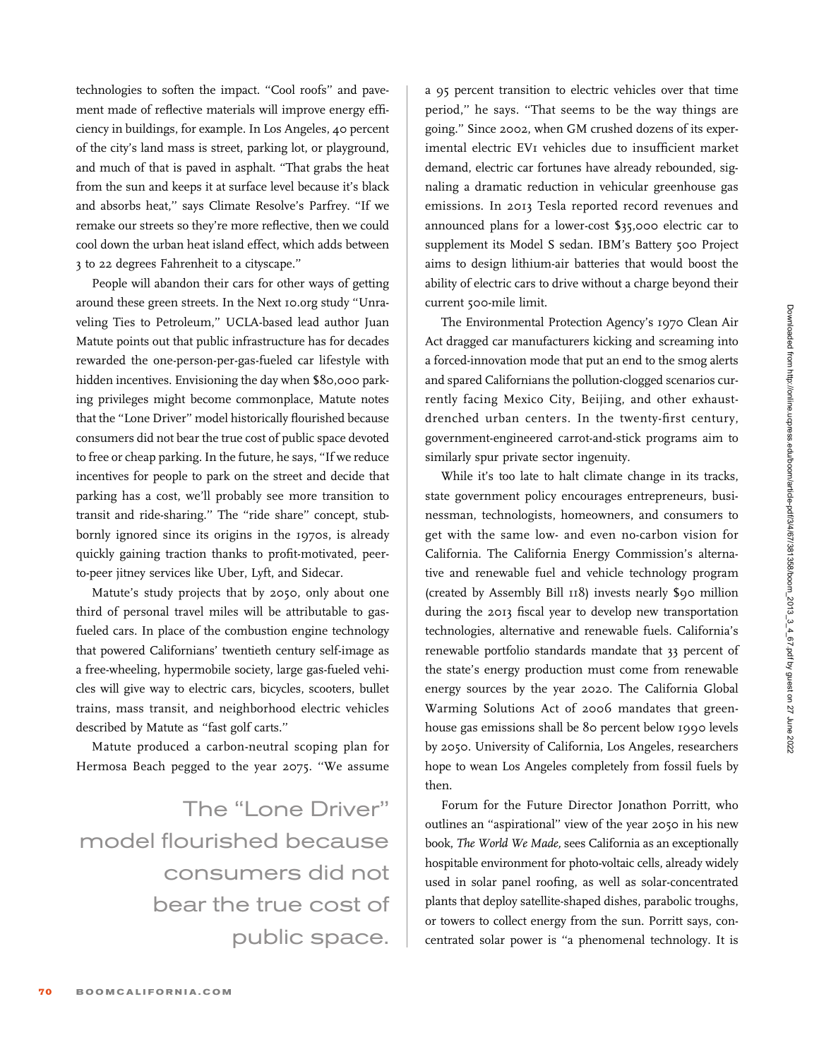technologies to soften the impact. "Cool roofs" and pavement made of reflective materials will improve energy efficiency in buildings, for example. In Los Angeles, 40 percent of the city's land mass is street, parking lot, or playground, and much of that is paved in asphalt. ''That grabs the heat from the sun and keeps it at surface level because it's black and absorbs heat,'' says Climate Resolve's Parfrey. ''If we remake our streets so they're more reflective, then we could cool down the urban heat island effect, which adds between 3 to 22 degrees Fahrenheit to a cityscape.''

People will abandon their cars for other ways of getting around these green streets. In the Next 10.org study ''Unraveling Ties to Petroleum,'' UCLA-based lead author Juan Matute points out that public infrastructure has for decades rewarded the one-person-per-gas-fueled car lifestyle with hidden incentives. Envisioning the day when \$80,000 parking privileges might become commonplace, Matute notes that the ''Lone Driver'' model historically flourished because consumers did not bear the true cost of public space devoted to free or cheap parking. In the future, he says, ''If we reduce incentives for people to park on the street and decide that parking has a cost, we'll probably see more transition to transit and ride-sharing." The "ride share" concept, stubbornly ignored since its origins in the 1970s, is already quickly gaining traction thanks to profit-motivated, peerto-peer jitney services like Uber, Lyft, and Sidecar.

Matute's study projects that by 2050, only about one third of personal travel miles will be attributable to gasfueled cars. In place of the combustion engine technology that powered Californians' twentieth century self-image as a free-wheeling, hypermobile society, large gas-fueled vehicles will give way to electric cars, bicycles, scooters, bullet trains, mass transit, and neighborhood electric vehicles described by Matute as "fast golf carts."

Matute produced a carbon-neutral scoping plan for Hermosa Beach pegged to the year 2075. ''We assume

The ''Lone Driver'' model flourished because consumers did not bear the true cost of public space. a 95 percent transition to electric vehicles over that time period,'' he says. ''That seems to be the way things are going.'' Since 2002, when GM crushed dozens of its experimental electric EV1 vehicles due to insufficient market demand, electric car fortunes have already rebounded, signaling a dramatic reduction in vehicular greenhouse gas emissions. In 2013 Tesla reported record revenues and announced plans for a lower-cost \$35,000 electric car to supplement its Model S sedan. IBM's Battery 500 Project aims to design lithium-air batteries that would boost the ability of electric cars to drive without a charge beyond their current 500-mile limit.

The Environmental Protection Agency's 1970 Clean Air Act dragged car manufacturers kicking and screaming into a forced-innovation mode that put an end to the smog alerts and spared Californians the pollution-clogged scenarios currently facing Mexico City, Beijing, and other exhaustdrenched urban centers. In the twenty-first century, government-engineered carrot-and-stick programs aim to similarly spur private sector ingenuity.

While it's too late to halt climate change in its tracks, state government policy encourages entrepreneurs, businessman, technologists, homeowners, and consumers to get with the same low- and even no-carbon vision for California. The California Energy Commission's alternative and renewable fuel and vehicle technology program (created by Assembly Bill 118) invests nearly \$90 million during the 2013 fiscal year to develop new transportation technologies, alternative and renewable fuels. California's renewable portfolio standards mandate that 33 percent of the state's energy production must come from renewable energy sources by the year 2020. The California Global Warming Solutions Act of 2006 mandates that greenhouse gas emissions shall be 80 percent below 1990 levels by 2050. University of California, Los Angeles, researchers hope to wean Los Angeles completely from fossil fuels by then.

Forum for the Future Director Jonathon Porritt, who outlines an ''aspirational'' view of the year 2050 in his new book, The World We Made, sees California as an exceptionally hospitable environment for photo-voltaic cells, already widely used in solar panel roofing, as well as solar-concentrated plants that deploy satellite-shaped dishes, parabolic troughs, or towers to collect energy from the sun. Porritt says, concentrated solar power is ''a phenomenal technology. It is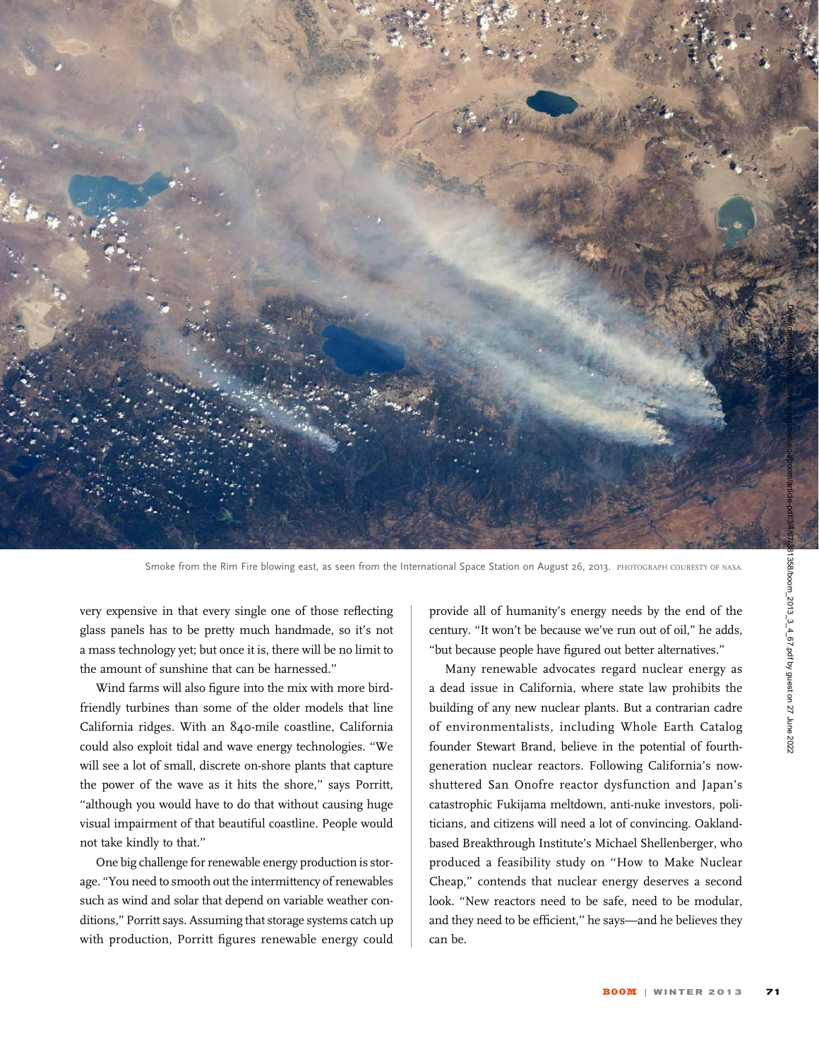

Smoke from the Rim Fire blowing east, as seen from the International Space Station on August 26, 2013. PHOTOGRAPH COURESTY OF NASA.

very expensive in that every single one of those reflecting glass panels has to be pretty much handmade, so it's not a mass technology yet; but once it is, there will be no limit to the amount of sunshine that can be harnessed.''

Wind farms will also figure into the mix with more birdfriendly turbines than some of the older models that line California ridges. With an 840-mile coastline, California could also exploit tidal and wave energy technologies. ''We will see a lot of small, discrete on-shore plants that capture the power of the wave as it hits the shore," says Porritt, ''although you would have to do that without causing huge visual impairment of that beautiful coastline. People would not take kindly to that.''

One big challenge for renewable energy production is storage. ''You need to smooth out the intermittency of renewables such as wind and solar that depend on variable weather conditions,'' Porritt says. Assuming that storage systems catch up with production, Porritt figures renewable energy could

provide all of humanity's energy needs by the end of the century. ''It won't be because we've run out of oil,'' he adds, ''but because people have figured out better alternatives.''

Many renewable advocates regard nuclear energy as a dead issue in California, where state law prohibits the building of any new nuclear plants. But a contrarian cadre of environmentalists, including Whole Earth Catalog founder Stewart Brand, believe in the potential of fourthgeneration nuclear reactors. Following California's nowshuttered San Onofre reactor dysfunction and Japan's catastrophic Fukijama meltdown, anti-nuke investors, politicians, and citizens will need a lot of convincing. Oaklandbased Breakthrough Institute's Michael Shellenberger, who produced a feasibility study on ''How to Make Nuclear Cheap,'' contends that nuclear energy deserves a second look. ''New reactors need to be safe, need to be modular, and they need to be efficient," he says-and he believes they can be.